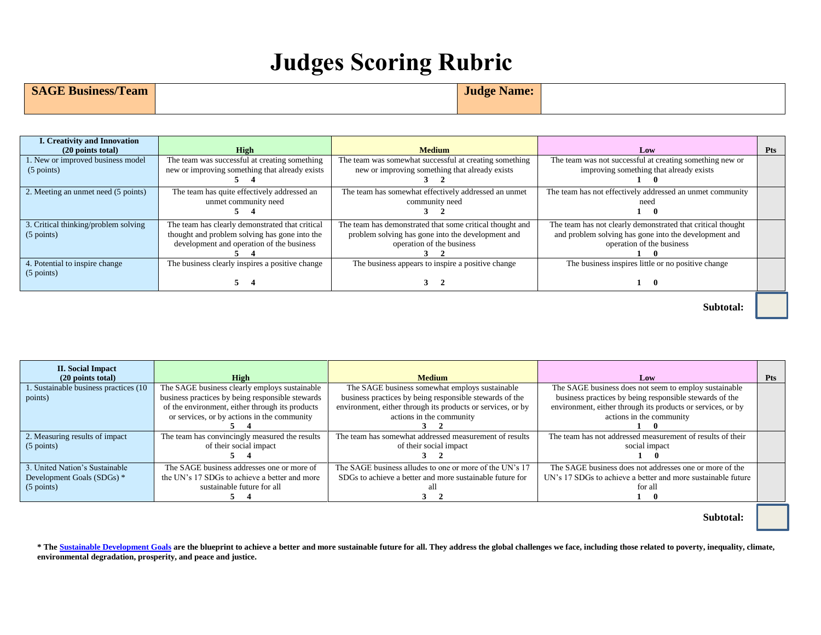## **Judges Scoring Rubric**

## **SAGE Business/Team Judge Name: Judge Name:**

| <b>I. Creativity and Innovation</b><br>$(20$ points total) | High                                                                                                                                          | <b>Medium</b>                                                                                                                              | Low                                                                                                                                               | <b>Pts</b> |
|------------------------------------------------------------|-----------------------------------------------------------------------------------------------------------------------------------------------|--------------------------------------------------------------------------------------------------------------------------------------------|---------------------------------------------------------------------------------------------------------------------------------------------------|------------|
| 1. New or improved business model<br>(5 points)            | The team was successful at creating something<br>new or improving something that already exists                                               | The team was somewhat successful at creating something<br>new or improving something that already exists                                   | The team was not successful at creating something new or<br>improving something that already exists                                               |            |
| 2. Meeting an unmet need (5 points)                        | The team has quite effectively addressed an<br>unmet community need                                                                           | The team has somewhat effectively addressed an unmet<br>community need                                                                     | The team has not effectively addressed an unmet community<br>neec<br>0                                                                            |            |
| 3. Critical thinking/problem solving<br>$(5$ points)       | The team has clearly demonstrated that critical<br>thought and problem solving has gone into the<br>development and operation of the business | The team has demonstrated that some critical thought and<br>problem solving has gone into the development and<br>operation of the business | The team has not clearly demonstrated that critical thought<br>and problem solving has gone into the development and<br>operation of the business |            |
| 4. Potential to inspire change<br>$(5$ points)             | The business clearly inspires a positive change                                                                                               | The business appears to inspire a positive change<br>$\cdot$                                                                               | The business inspires little or no positive change<br>$\mathbf{u}$                                                                                |            |

 **Subtotal:** 

| <b>II. Social Impact</b>              |                                                  |                                                             |                                                              |            |
|---------------------------------------|--------------------------------------------------|-------------------------------------------------------------|--------------------------------------------------------------|------------|
| $(20$ points total)                   | High                                             | <b>Medium</b>                                               | Low                                                          | <b>Pts</b> |
| . Sustainable business practices (10) | The SAGE business clearly employs sustainable    | The SAGE business somewhat employs sustainable              | The SAGE business does not seem to employ sustainable        |            |
| points)                               | business practices by being responsible stewards | business practices by being responsible stewards of the     | business practices by being responsible stewards of the      |            |
|                                       | of the environment, either through its products  | environment, either through its products or services, or by | environment, either through its products or services, or by  |            |
|                                       | or services, or by actions in the community      | actions in the community                                    | actions in the community                                     |            |
|                                       |                                                  |                                                             |                                                              |            |
| 2. Measuring results of impact        | The team has convincingly measured the results   | The team has somewhat addressed measurement of results      | The team has not addressed measurement of results of their   |            |
| $(5 \text{ points})$                  | of their social impact                           | of their social impact                                      | social impact                                                |            |
|                                       |                                                  |                                                             |                                                              |            |
| 3. United Nation's Sustainable        | The SAGE business addresses one or more of       | The SAGE business alludes to one or more of the UN's 17     | The SAGE business does not addresses one or more of the      |            |
| Development Goals (SDGs) *            | the UN's 17 SDGs to achieve a better and more    | SDGs to achieve a better and more sustainable future for    | UN's 17 SDGs to achieve a better and more sustainable future |            |
| $(5$ points)                          | sustainable future for all                       |                                                             | for all                                                      |            |
|                                       |                                                  |                                                             |                                                              |            |

 **Subtotal:**

\* Th[e Sustainable Development Goals](https://www.un.org/sustainabledevelopment/sustainable-development-goals/) are the blueprint to achieve a better and more sustainable future for all. They address the global challenges we face, including those related to poverty, inequality, climate, **environmental degradation, prosperity, and peace and justice.**